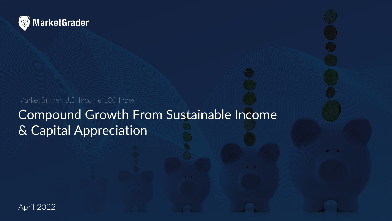

MarketGrader U.S. Income 100 Index

## Compound Growth From Sustainable Income & Capital Appreciation

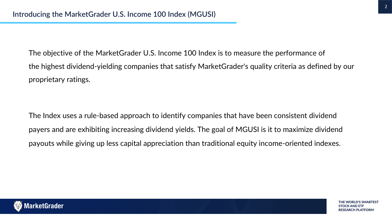The objective of the MarketGrader U.S. Income 100 Index is to measure the performance of the highest dividend-yielding companies that satisfy MarketGrader's quality criteria as defined by our proprietary ratings.

The Index uses a rule-based approach to identify companies that have been consistent dividend payers and are exhibiting increasing dividend yields. The goal of MGUSI is it to maximize dividend payouts while giving up less capital appreciation than traditional equity income-oriented indexes.

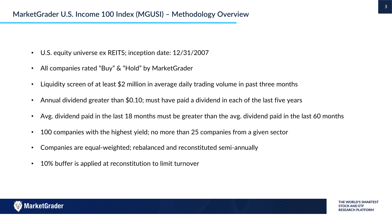- U.S. equity universe ex REITS; inception date: 12/31/2007
- All companies rated "Buy" & "Hold" by MarketGrader
- Liquidity screen of at least \$2 million in average daily trading volume in past three months
- Annual dividend greater than \$0.10; must have paid a dividend in each of the last five years
- Avg. dividend paid in the last 18 months must be greater than the avg. dividend paid in the last 60 months
- 100 companies with the highest yield; no more than 25 companies from a given sector
- Companies are equal-weighted; rebalanced and reconstituted semi-annually
- 10% buffer is applied at reconstitution to limit turnover

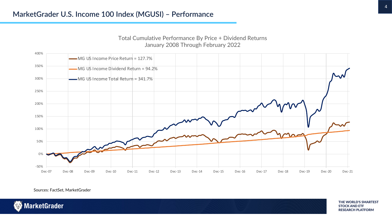

Total Cumulative Performance By Price + Dividend Returns January 2008 Through February 2022

Sources: FactSet, MarketGrader



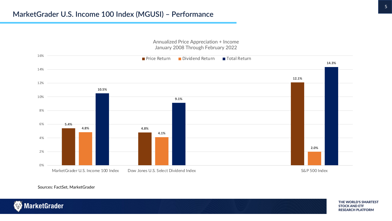

Annualized Price Appreciation + Income January 2008 Through February 2022

Sources: FactSet, MarketGrader



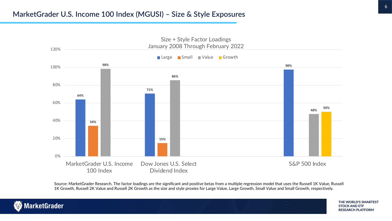

Source: MarketGrader Research. The factor loadings are the significant and positive betas from a multiple regression model that uses the Russell 1K Value, Russell 1K Growth, Russell 2K Value and Russell 2K Growth as the size and style proxies for Large Value, Large Growth, Small Value and Small Growth, respectively.

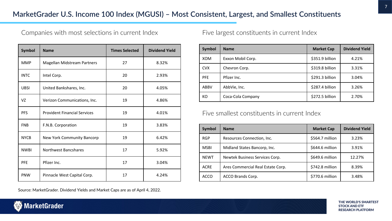Companies with most selections in current Index

| <b>Symbol</b> | <b>Name</b>                         | <b>Times Selected</b> | <b>Dividend Yield</b> |  |  |
|---------------|-------------------------------------|-----------------------|-----------------------|--|--|
| <b>MMP</b>    | Magellan Midstream Partners         | 27                    | 8.32%                 |  |  |
| <b>INTC</b>   | Intel Corp.                         | 20                    | 2.93%                 |  |  |
| <b>UBSI</b>   | United Bankshares, Inc.             | 20                    | 4.05%                 |  |  |
| VZ            | Verizon Communications, Inc.        | 19                    | 4.86%                 |  |  |
| <b>PFS</b>    | <b>Provident Financial Services</b> | 19                    | 4.01%                 |  |  |
| <b>FNB</b>    | F.N.B. Corporation                  | 19                    | 3.83%                 |  |  |
| <b>NYCB</b>   | New York Community Bancorp          | 19                    | 6.42%                 |  |  |
| <b>NWBI</b>   | <b>Northwest Bancshares</b>         | 17                    | 5.92%                 |  |  |
| PFE           | Pfizer Inc.                         | 17                    | 3.04%                 |  |  |
| PNW           | Pinnacle West Capital Corp.         | 17                    | 4.24%                 |  |  |

Source: MarketGrader. Dividend Yields and Market Caps are as of April 4, 2022.

Five largest constituents in current Index

| <b>Symbol</b> | <b>Name</b>       | <b>Market Cap</b> | <b>Dividend Yield</b> |  |
|---------------|-------------------|-------------------|-----------------------|--|
| <b>XOM</b>    | Exxon Mobil Corp. | \$351.9 billion   | 4.21%                 |  |
| <b>CVX</b>    | Chevron Corp.     | \$319.8 billion   | 3.31%                 |  |
| <b>PFE</b>    | Pfizer Inc.       | \$291.3 billion   | 3.04%                 |  |
| ABBV          | AbbVie, Inc.      | \$287.4 billion   | 3.26%                 |  |
| КO            | Coca-Cola Company | \$272.5 billion   | 2.70%                 |  |

Five smallest constituents in current Index

| <b>Symbol</b> | <b>Name</b>                       | <b>Market Cap</b> | <b>Dividend Yield</b> |  |
|---------------|-----------------------------------|-------------------|-----------------------|--|
| <b>RGP</b>    | Resources Connection, Inc.        | \$564.7 million   | 3.23%                 |  |
| <b>MSBI</b>   | Midland States Bancorp, Inc.      | \$644.6 million   | 3.91%                 |  |
| <b>NEWT</b>   | Newtek Business Services Corp.    | \$649.6 million   | 12.27%                |  |
| <b>ACRE</b>   | Ares Commercial Real Estate Corp. | \$742.8 million   | 8.39%                 |  |
| ACCO          | ACCO Brands Corp.                 | \$770.6 million   | 3.48%                 |  |

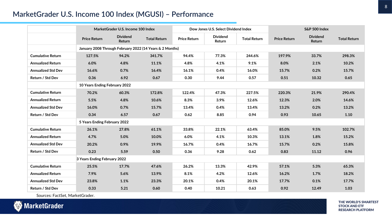## **MarketGrader U.S. Income 100 Index (MGUSI) – Performance**

|                              | MarketGrader U.S. Income 100 Index                       |                           |                     | Dow Jones U.S. Select Dividend Index |                           | S&P 500 Index       |                     |                           |                     |
|------------------------------|----------------------------------------------------------|---------------------------|---------------------|--------------------------------------|---------------------------|---------------------|---------------------|---------------------------|---------------------|
|                              | <b>Price Return</b>                                      | <b>Dividend</b><br>Return | <b>Total Return</b> | <b>Price Return</b>                  | <b>Dividend</b><br>Return | <b>Total Return</b> | <b>Price Return</b> | <b>Dividend</b><br>Return | <b>Total Return</b> |
|                              | January 2008 Through February 2022 (14 Years & 2 Months) |                           |                     |                                      |                           |                     |                     |                           |                     |
| <b>Cumulative Return</b>     | 127.5%                                                   | 94.2%                     | 341.7%              | 94.4%                                | 77.3%                     | 244.6%              | 197.9%              | 33.7%                     | 298.3%              |
| <b>Annualized Return</b>     | 6.0%                                                     | 4.8%                      | 11.1%               | 4.8%                                 | 4.1%                      | 9.1%                | 8.0%                | 2.1%                      | 10.2%               |
| <b>Annualized Std Dev</b>    | 16.6%                                                    | 0.7%                      | 16.4%               | 16.1%                                | 0.4%                      | 16.0%               | 15.7%               | 0.2%                      | 15.7%               |
| Return / Std Dev             | 0.36                                                     | 6.92                      | 0.67                | 0.30                                 | 9.44                      | 0.57                | 0.51                | 10.32                     | 0.65                |
|                              | 10 Years Ending February 2022                            |                           |                     |                                      |                           |                     |                     |                           |                     |
| <b>Cumulative Return</b>     | 70.2%                                                    | 60.3%                     | 172.8%              | 122.4%                               | 47.3%                     | 227.5%              | 220.3%              | 21.9%                     | 290.4%              |
| <b>Annualized Return</b>     | 5.5%                                                     | 4.8%                      | 10.6%               | 8.3%                                 | 3.9%                      | 12.6%               | 12.3%               | 2.0%                      | 14.6%               |
| <b>Annualized Std Dev</b>    | 16.0%                                                    | 0.7%                      | 15.7%               | 13.4%                                | 0.4%                      | 13.4%               | 13.2%               | 0.2%                      | 13.2%               |
| Return / Std Dev             | 0.34                                                     | 6.57                      | 0.67                | 0.62                                 | 8.85                      | 0.94                | 0.93                | 10.65                     | 1.10                |
|                              | 5 Years Ending February 2022                             |                           |                     |                                      |                           |                     |                     |                           |                     |
| <b>Cumulative Return</b>     | 26.1%                                                    | 27.8%                     | 61.1%               | 33.8%                                | 22.1%                     | 63.4%               | 85.0%               | 9.5%                      | 102.7%              |
| <b>Annualized Return</b>     | 4.7%                                                     | 5.0%                      | 10.0%               | 6.0%                                 | 4.1%                      | 10.3%               | 13.1%               | 1.8%                      | 15.2%               |
| <b>Annualized Std Dev</b>    | 20.2%                                                    | 0.9%                      | 19.9%               | 16.7%                                | 0.4%                      | 16.7%               | 15.7%               | 0.2%                      | 15.8%               |
| Return / Std Dev             | 0.23                                                     | 5.59                      | 0.50                | 0.36                                 | 9.28                      | 0.62                | 0.83                | 11.12                     | 0.96                |
| 3 Years Ending February 2022 |                                                          |                           |                     |                                      |                           |                     |                     |                           |                     |
| <b>Cumulative Return</b>     | 25.5%                                                    | 17.7%                     | 47.6%               | 26.2%                                | 13.3%                     | 42.9%               | 57.1%               | 5.3%                      | 65.3%               |
| <b>Annualized Return</b>     | 7.9%                                                     | 5.6%                      | 13.9%               | 8.1%                                 | 4.2%                      | 12.6%               | 16.2%               | 1.7%                      | 18.2%               |
| <b>Annualized Std Dev</b>    | 23.8%                                                    | 1.1%                      | 23.3%               | 20.1%                                | 0.4%                      | 20.1%               | 17.7%               | 0.1%                      | 17.7%               |
| Return / Std Dev             | 0.33                                                     | 5.21                      | 0.60                | 0.40                                 | 10.21                     | 0.63                | 0.92                | 12.49                     | 1.03                |

Sources: FactSet, MarketGrader.